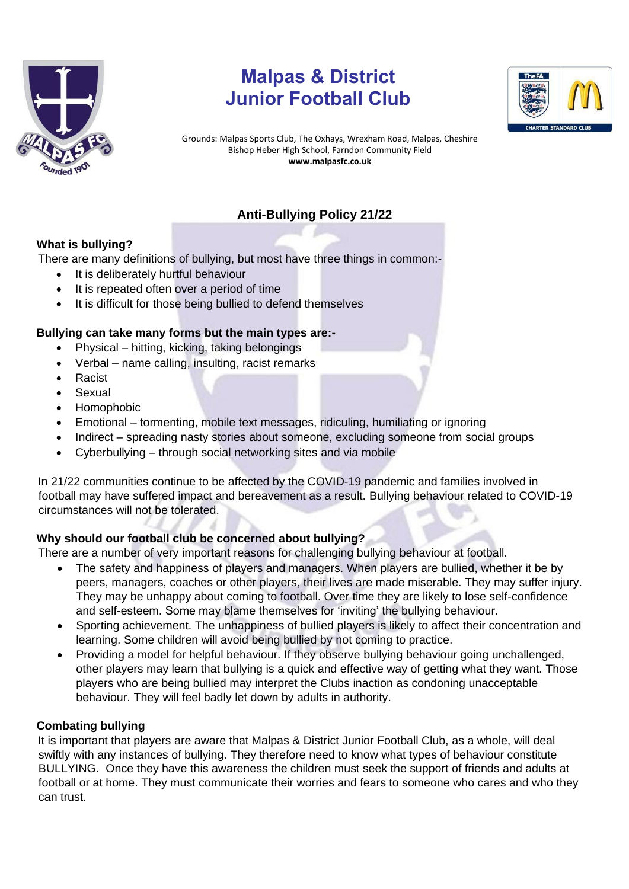

# **Malpas & District Junior Football Club**



Grounds: Malpas Sports Club, The Oxhays, Wrexham Road, Malpas, Cheshire Bishop Heber High School, Farndon Community Field **www.malpasfc.co.uk** 

# **Anti-Bullying Policy 21/22**

# **What is bullying?**

There are many definitions of bullying, but most have three things in common:-

- It is deliberately hurtful behaviour
- It is repeated often over a period of time
- It is difficult for those being bullied to defend themselves

## **Bullying can take many forms but the main types are:-**

- Physical hitting, kicking, taking belongings
- Verbal name calling, insulting, racist remarks
- Racist
- Sexual
- Homophobic
- Emotional tormenting, mobile text messages, ridiculing, humiliating or ignoring
- Indirect spreading nasty stories about someone, excluding someone from social groups
- Cyberbullying through social networking sites and via mobile

In 21/22 communities continue to be affected by the COVID-19 pandemic and families involved in football may have suffered impact and bereavement as a result. Bullying behaviour related to COVID-19 circumstances will not be tolerated.

# **Why should our football club be concerned about bullying?**

There are a number of very important reasons for challenging bullying behaviour at football.

- The safety and happiness of players and managers. When players are bullied, whether it be by peers, managers, coaches or other players, their lives are made miserable. They may suffer injury. They may be unhappy about coming to football. Over time they are likely to lose self-confidence and self-esteem. Some may blame themselves for 'inviting' the bullying behaviour.
- Sporting achievement. The unhappiness of bullied players is likely to affect their concentration and learning. Some children will avoid being bullied by not coming to practice.
- Providing a model for helpful behaviour. If they observe bullying behaviour going unchallenged, other players may learn that bullying is a quick and effective way of getting what they want. Those players who are being bullied may interpret the Clubs inaction as condoning unacceptable behaviour. They will feel badly let down by adults in authority.

# **Combating bullying**

It is important that players are aware that Malpas & District Junior Football Club, as a whole, will deal swiftly with any instances of bullying. They therefore need to know what types of behaviour constitute BULLYING. Once they have this awareness the children must seek the support of friends and adults at football or at home. They must communicate their worries and fears to someone who cares and who they can trust.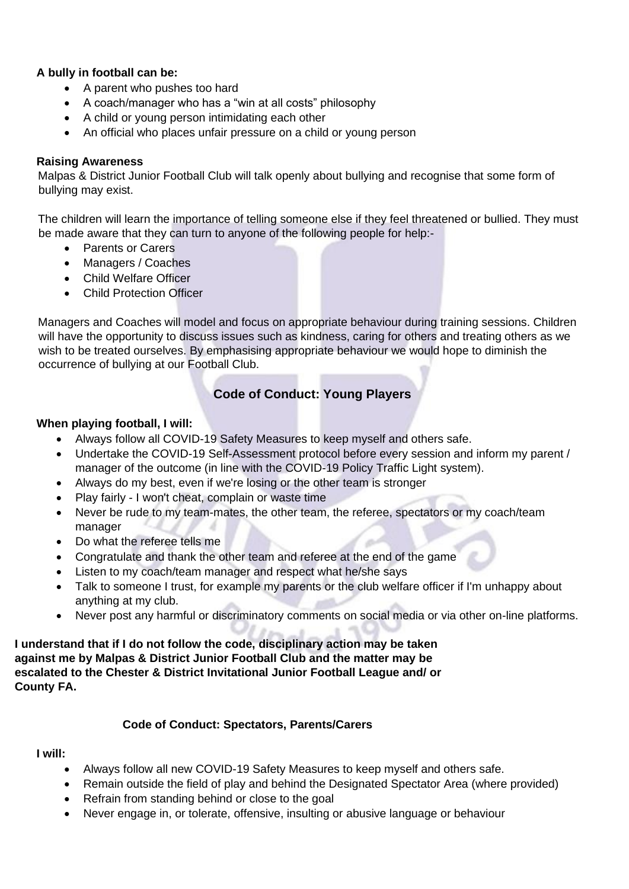## **A bully in football can be:**

- A parent who pushes too hard
- A coach/manager who has a "win at all costs" philosophy
- A child or young person intimidating each other
- An official who places unfair pressure on a child or young person

### **Raising Awareness**

Malpas & District Junior Football Club will talk openly about bullying and recognise that some form of bullying may exist.

The children will learn the importance of telling someone else if they feel threatened or bullied. They must be made aware that they can turn to anyone of the following people for help:-

- Parents or Carers
- Managers / Coaches
- Child Welfare Officer
- Child Protection Officer

Managers and Coaches will model and focus on appropriate behaviour during training sessions. Children will have the opportunity to discuss issues such as kindness, caring for others and treating others as we wish to be treated ourselves. By emphasising appropriate behaviour we would hope to diminish the occurrence of bullying at our Football Club.

# **Code of Conduct: Young Players**

#### **When playing football, I will:**

- Always follow all COVID-19 Safety Measures to keep myself and others safe.
- Undertake the COVID-19 Self-Assessment protocol before every session and inform my parent / manager of the outcome (in line with the COVID-19 Policy Traffic Light system).
- Always do my best, even if we're losing or the other team is stronger
- Play fairly I won't cheat, complain or waste time
- Never be rude to my team-mates, the other team, the referee, spectators or my coach/team manager
- Do what the referee tells me
- Congratulate and thank the other team and referee at the end of the game
- Listen to my coach/team manager and respect what he/she says
- Talk to someone I trust, for example my parents or the club welfare officer if I'm unhappy about anything at my club.
- Never post any harmful or discriminatory comments on social media or via other on-line platforms.

**I understand that if I do not follow the code, disciplinary action may be taken against me by Malpas & District Junior Football Club and the matter may be escalated to the Chester & District Invitational Junior Football League and/ or County FA.** 

#### **Code of Conduct: Spectators, Parents/Carers**

#### **I will:**

- Always follow all new COVID-19 Safety Measures to keep myself and others safe.
- Remain outside the field of play and behind the Designated Spectator Area (where provided)
- Refrain from standing behind or close to the goal
- Never engage in, or tolerate, offensive, insulting or abusive language or behaviour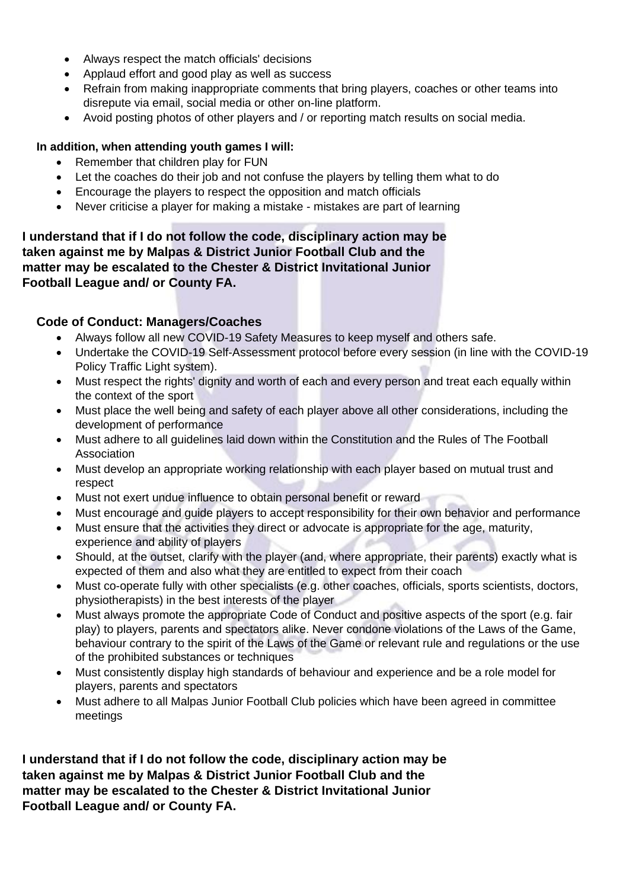- Always respect the match officials' decisions
- Applaud effort and good play as well as success
- Refrain from making inappropriate comments that bring players, coaches or other teams into disrepute via email, social media or other on-line platform.
- Avoid posting photos of other players and / or reporting match results on social media.

## **In addition, when attending youth games I will:**

- Remember that children play for FUN
- Let the coaches do their job and not confuse the players by telling them what to do
- Encourage the players to respect the opposition and match officials
- Never criticise a player for making a mistake mistakes are part of learning

**I understand that if I do not follow the code, disciplinary action may be taken against me by Malpas & District Junior Football Club and the matter may be escalated to the Chester & District Invitational Junior Football League and/ or County FA.** 

# **Code of Conduct: Managers/Coaches**

- Always follow all new COVID-19 Safety Measures to keep myself and others safe.
- Undertake the COVID-19 Self-Assessment protocol before every session (in line with the COVID-19 Policy Traffic Light system).
- Must respect the rights' dignity and worth of each and every person and treat each equally within the context of the sport
- Must place the well being and safety of each player above all other considerations, including the development of performance
- Must adhere to all guidelines laid down within the Constitution and the Rules of The Football Association
- Must develop an appropriate working relationship with each player based on mutual trust and respect
- Must not exert undue influence to obtain personal benefit or reward
- Must encourage and guide players to accept responsibility for their own behavior and performance
- Must ensure that the activities they direct or advocate is appropriate for the age, maturity, experience and ability of players
- Should, at the outset, clarify with the player (and, where appropriate, their parents) exactly what is expected of them and also what they are entitled to expect from their coach
- Must co-operate fully with other specialists (e.g. other coaches, officials, sports scientists, doctors, physiotherapists) in the best interests of the player
- Must always promote the appropriate Code of Conduct and positive aspects of the sport (e.g. fair play) to players, parents and spectators alike. Never condone violations of the Laws of the Game, behaviour contrary to the spirit of the Laws of the Game or relevant rule and regulations or the use of the prohibited substances or techniques
- Must consistently display high standards of behaviour and experience and be a role model for players, parents and spectators
- Must adhere to all Malpas Junior Football Club policies which have been agreed in committee meetings

**I understand that if I do not follow the code, disciplinary action may be taken against me by Malpas & District Junior Football Club and the matter may be escalated to the Chester & District Invitational Junior Football League and/ or County FA.**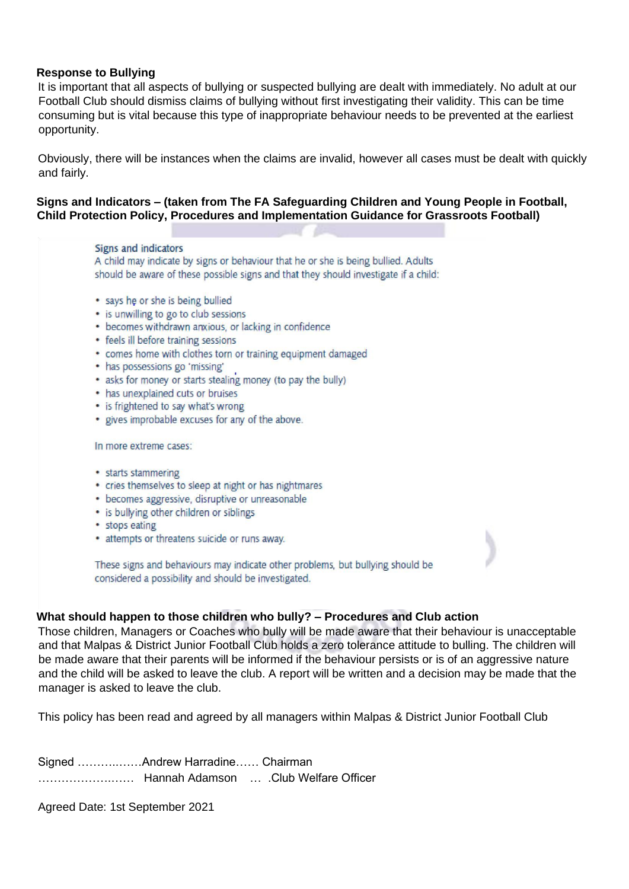#### **Response to Bullying**

It is important that all aspects of bullying or suspected bullying are dealt with immediately. No adult at our Football Club should dismiss claims of bullying without first investigating their validity. This can be time consuming but is vital because this type of inappropriate behaviour needs to be prevented at the earliest opportunity.

Obviously, there will be instances when the claims are invalid, however all cases must be dealt with quickly and fairly.

#### **Signs and Indicators – (taken from The FA Safeguarding Children and Young People in Football, Child Protection Policy, Procedures and Implementation Guidance for Grassroots Football)**

#### Signs and indicators

A child may indicate by signs or behaviour that he or she is being bullied. Adults should be aware of these possible signs and that they should investigate if a child:

- says he or she is being bullied
- is unwilling to go to club sessions
- becomes withdrawn anxious, or lacking in confidence
- feels ill before training sessions
- comes home with clothes torn or training equipment damaged
- has possessions go 'missing'
- asks for money or starts stealing money (to pay the bully)
- has unexplained cuts or bruises
- is frightened to say what's wrong
- gives improbable excuses for any of the above.

#### In more extreme cases:

- starts stammering
- cries themselves to sleep at night or has nightmares
- becomes aggressive, disruptive or unreasonable
- is bullying other children or siblings
- stops eating
- attempts or threatens suicide or runs away.

These signs and behaviours may indicate other problems, but bullying should be considered a possibility and should be investigated.

#### **What should happen to those children who bully? – Procedures and Club action**

Those children, Managers or Coaches who bully will be made aware that their behaviour is unacceptable and that Malpas & District Junior Football Club holds a zero tolerance attitude to bulling. The children will be made aware that their parents will be informed if the behaviour persists or is of an aggressive nature and the child will be asked to leave the club. A report will be written and a decision may be made that the manager is asked to leave the club.

This policy has been read and agreed by all managers within Malpas & District Junior Football Club

Signed ………..……Andrew Harradine…… Chairman ……………….…… Hannah Adamson … .Club Welfare Officer

Agreed Date: 1st September 2021